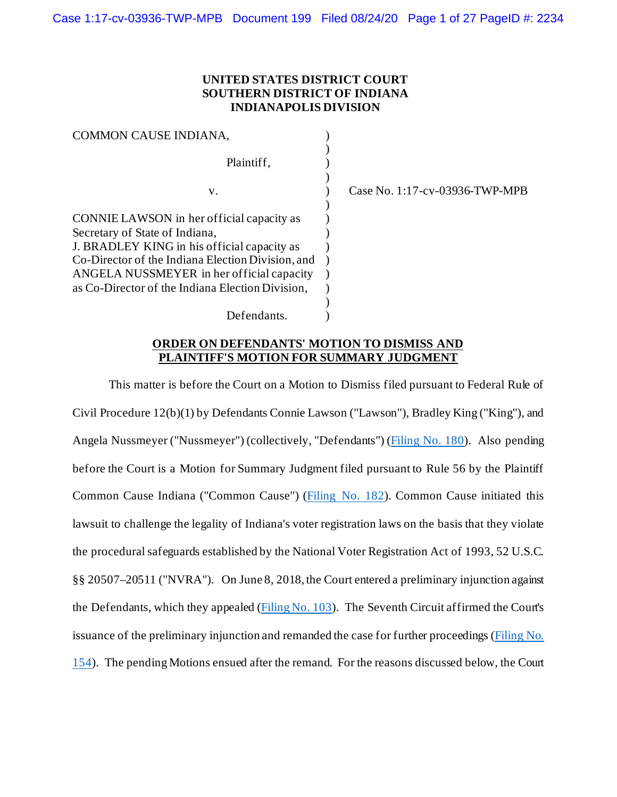## **UNITED STATES DISTRICT COURT SOUTHERN DISTRICT OF INDIANA INDIANAPOLIS DIVISION**

| COMMON CAUSE INDIANA,                             |  |
|---------------------------------------------------|--|
|                                                   |  |
| Plaintiff,                                        |  |
|                                                   |  |
| v.                                                |  |
|                                                   |  |
| CONNIE LAWSON in her official capacity as         |  |
| Secretary of State of Indiana,                    |  |
| J. BRADLEY KING in his official capacity as       |  |
| Co-Director of the Indiana Election Division, and |  |
| ANGELA NUSSMEYER in her official capacity         |  |
| as Co-Director of the Indiana Election Division,  |  |
|                                                   |  |
| Defendants.                                       |  |

) Case No. 1:17-cv-03936-TWP-MPB

### **ORDER ON DEFENDANTS' MOTION TO DISMISS AND PLAINTIFF'S MOTION FOR SUMMARY JUDGMENT**

This matter is before the Court on a Motion to Dismiss filed pursuant to Federal Rule of Civil Procedure 12(b)(1) by Defendants Connie Lawson ("Lawson"), Bradley King ("King"), and Angela Nussmeyer ("Nussmeyer") (collectively, "Defendants") [\(Filing No. 180\)](https://ecf.insd.uscourts.gov/doc1/07318034840). Also pending before the Court is a Motion for Summary Judgment filed pursuant to Rule 56 by the Plaintiff Common Cause Indiana ("Common Cause") [\(Filing No. 182\)](https://ecf.insd.uscourts.gov/doc1/07318034886). Common Cause initiated this lawsuit to challenge the legality of Indiana's voter registration laws on the basis that they violate the procedural safeguards established by the National Voter Registration Act of 1993, 52 U.S.C. §§ 20507–20511 ("NVRA"). On June 8, 2018, the Court entered a preliminary injunction against the Defendants, which they appealed [\(Filing No. 103\)](https://ecf.insd.uscourts.gov/doc1/07316623248). The Seventh Circuit affirmed the Court's issuance of the preliminary injunction and remanded the case for further proceedings [\(Filing No.](https://ecf.insd.uscourts.gov/doc1/07317507858)  [154\)](https://ecf.insd.uscourts.gov/doc1/07317507858). The pending Motions ensued after the remand. For the reasons discussed below, the Court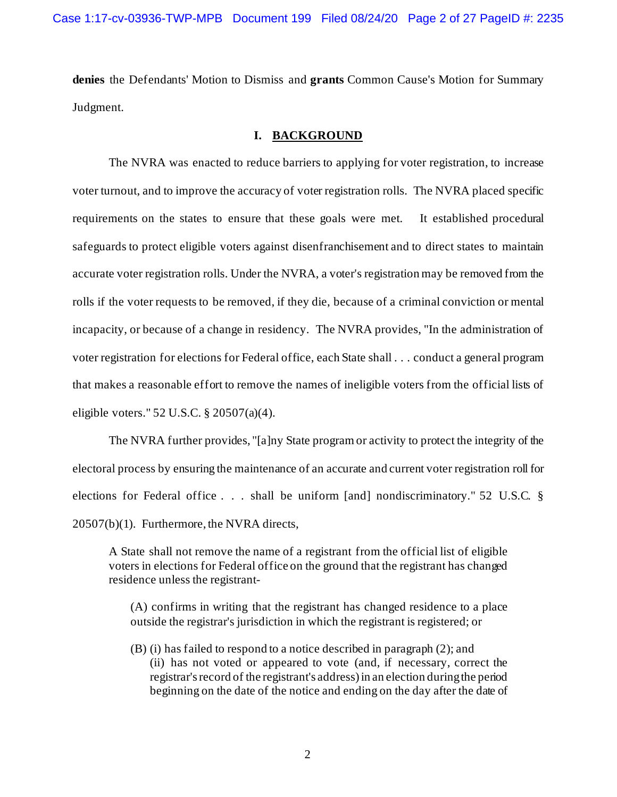**denies** the Defendants' Motion to Dismiss and **grants** Common Cause's Motion for Summary Judgment.

# **I. BACKGROUND**

The NVRA was enacted to reduce barriers to applying for voter registration, to increase voter turnout, and to improve the accuracy of voter registration rolls. The NVRA placed specific requirements on the states to ensure that these goals were met. It established procedural safeguards to protect eligible voters against disenfranchisement and to direct states to maintain accurate voter registration rolls. Under the NVRA, a voter's registration may be removed from the rolls if the voter requests to be removed, if they die, because of a criminal conviction or mental incapacity, or because of a change in residency. The NVRA provides, "In the administration of voter registration for elections for Federal office, each State shall . . . conduct a general program that makes a reasonable effort to remove the names of ineligible voters from the official lists of eligible voters." 52 U.S.C. § 20507(a)(4).

The NVRA further provides, "[a]ny State program or activity to protect the integrity of the electoral process by ensuring the maintenance of an accurate and current voter registration roll for elections for Federal office . . . shall be uniform [and] nondiscriminatory." 52 U.S.C. § 20507(b)(1). Furthermore, the NVRA directs,

A State shall not remove the name of a registrant from the official list of eligible voters in elections for Federal office on the ground that the registrant has changed residence unless the registrant-

(A) confirms in writing that the registrant has changed residence to a place outside the registrar's jurisdiction in which the registrant is registered; or

(B) (i) has failed to respond to a notice described in paragraph (2); and (ii) has not voted or appeared to vote (and, if necessary, correct the registrar's record of the registrant's address) in an election during the period beginning on the date of the notice and ending on the day after the date of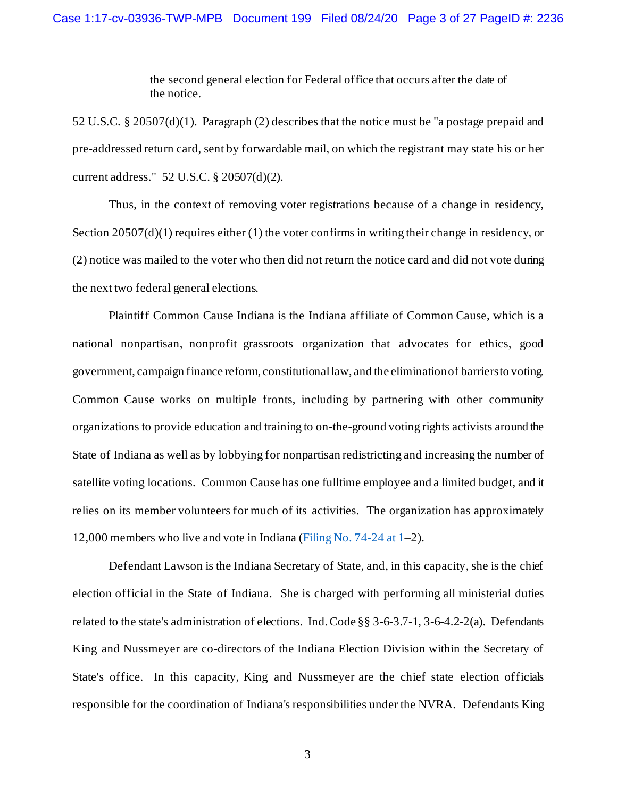the second general election for Federal office that occurs after the date of the notice.

52 U.S.C. § 20507(d)(1). Paragraph (2) describes that the notice must be "a postage prepaid and pre-addressed return card, sent by forwardable mail, on which the registrant may state his or her current address." 52 U.S.C. § 20507(d)(2).

Thus, in the context of removing voter registrations because of a change in residency, Section 20507(d)(1) requires either (1) the voter confirms in writing their change in residency, or (2) notice was mailed to the voter who then did not return the notice card and did not vote during the next two federal general elections.

Plaintiff Common Cause Indiana is the Indiana affiliate of Common Cause, which is a national nonpartisan, nonprofit grassroots organization that advocates for ethics, good government, campaign finance reform, constitutional law, and the elimination of barriers to voting. Common Cause works on multiple fronts, including by partnering with other community organizations to provide education and training to on-the-ground voting rights activists around the State of Indiana as well as by lobbying for nonpartisan redistricting and increasing the number of satellite voting locations. Common Cause has one fulltime employee and a limited budget, and it relies on its member volunteers for much of its activities. The organization has approximately 12,000 members who live and vote in Indiana [\(Filing No. 74-24 at 1–](https://ecf.insd.uscourts.gov/doc1/07316464173?page=1)2).

Defendant Lawson is the Indiana Secretary of State, and, in this capacity, she is the chief election official in the State of Indiana. She is charged with performing all ministerial duties related to the state's administration of elections. Ind. Code §§ 3-6-3.7-1, 3-6-4.2-2(a). Defendants King and Nussmeyer are co-directors of the Indiana Election Division within the Secretary of State's office. In this capacity, King and Nussmeyer are the chief state election officials responsible for the coordination of Indiana's responsibilities under the NVRA. Defendants King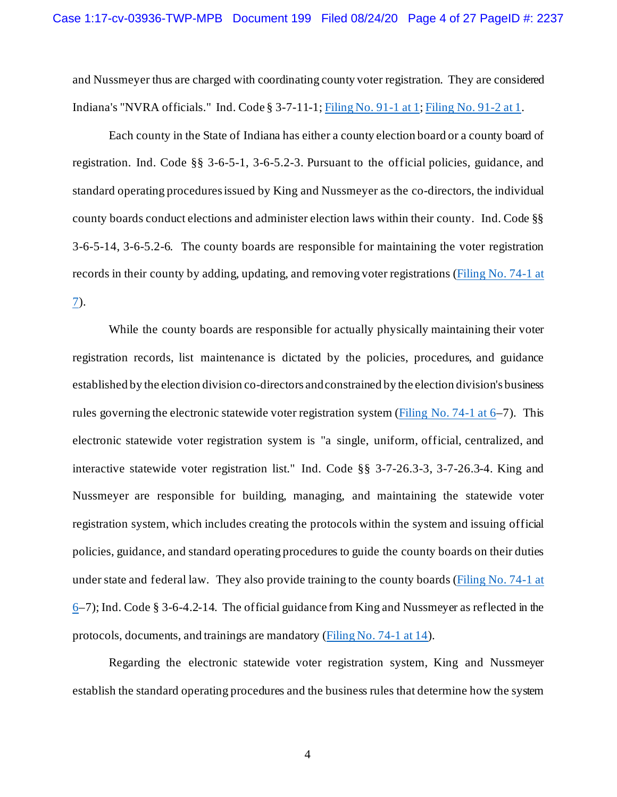and Nussmeyer thus are charged with coordinating county voter registration. They are considered Indiana's "NVRA officials." Ind. Code § 3-7-11-1[; Filing No. 91-1 at 1;](https://ecf.insd.uscourts.gov/doc1/07316556868?page=1) [Filing No. 91-2 at 1.](https://ecf.insd.uscourts.gov/doc1/07316556869?page=1)

Each county in the State of Indiana has either a county election board or a county board of registration. Ind. Code §§ 3-6-5-1, 3-6-5.2-3. Pursuant to the official policies, guidance, and standard operating procedures issued by King and Nussmeyer as the co-directors, the individual county boards conduct elections and administer election laws within their county. Ind. Code §§ 3-6-5-14, 3-6-5.2-6. The county boards are responsible for maintaining the voter registration records in their county by adding, updating, and removing voter registrations [\(Filing No. 74-1 at](https://ecf.insd.uscourts.gov/doc1/07316464150?page=7)  [7\)](https://ecf.insd.uscourts.gov/doc1/07316464150?page=7).

While the county boards are responsible for actually physically maintaining their voter registration records, list maintenance is dictated by the policies, procedures, and guidance established by the election division co-directors and constrained by the election division's business rules governing the electronic statewide voter registration system (Filing No.  $74-1$  at  $6-7$ ). This electronic statewide voter registration system is "a single, uniform, official, centralized, and interactive statewide voter registration list." Ind. Code §§ 3-7-26.3-3, 3-7-26.3-4. King and Nussmeyer are responsible for building, managing, and maintaining the statewide voter registration system, which includes creating the protocols within the system and issuing official policies, guidance, and standard operating procedures to guide the county boards on their duties under state and federal law. They also provide training to the county boards [\(Filing No. 74-1 at](https://ecf.insd.uscourts.gov/doc1/07316464150?page=6)   $6-7$ ); Ind. Code § 3-6-4.2-14. The official guidance from King and Nussmeyer as reflected in the protocols, documents, and trainings are mandatory [\(Filing No. 74-1 at 14\)](https://ecf.insd.uscourts.gov/doc1/07316464150?page=14).

Regarding the electronic statewide voter registration system, King and Nussmeyer establish the standard operating procedures and the business rules that determine how the system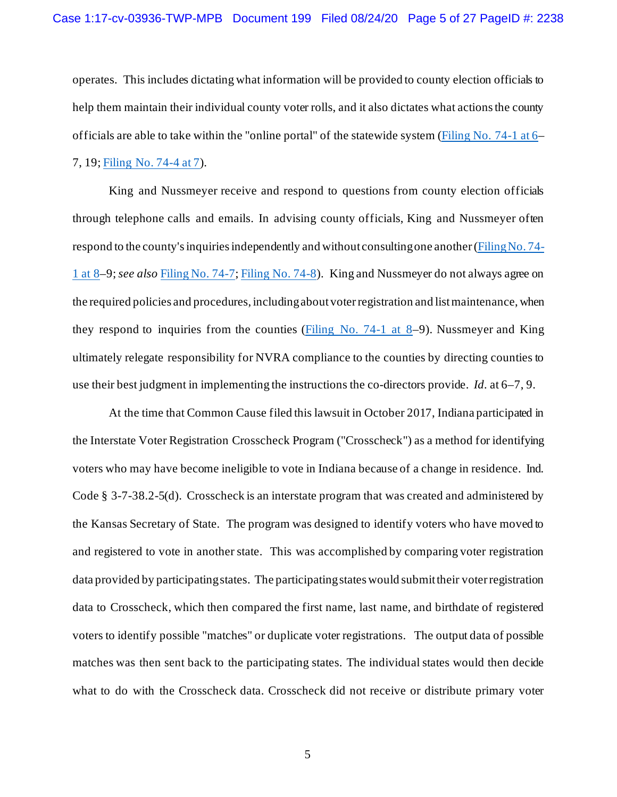operates. This includes dictating what information will be provided to county election officials to help them maintain their individual county voter rolls, and it also dictates what actions the county officials are able to take within the "online portal" of the statewide system [\(Filing No. 74-1 at 6–](https://ecf.insd.uscourts.gov/doc1/07316464150?page=6)

# 7, 19[; Filing No. 74-4 at 7\)](https://ecf.insd.uscourts.gov/doc1/07316464153?page=7).

King and Nussmeyer receive and respond to questions from county election officials through telephone calls and emails. In advising county officials, King and Nussmeyer often respond to the county's inquiries independently and without consulting one another [\(Filing No. 74-](https://ecf.insd.uscourts.gov/doc1/07316464150?page=8) [1 at 8–](https://ecf.insd.uscourts.gov/doc1/07316464150?page=8)9; *see also* [Filing No. 74-7](https://ecf.insd.uscourts.gov/doc1/07316464156)[; Filing No. 74-8\)](https://ecf.insd.uscourts.gov/doc1/07316464157). King and Nussmeyer do not always agree on the required policies and procedures, including about voter registration and list maintenance, when they respond to inquiries from the counties (Filing No. 74-1 at  $8-9$ ). Nussmeyer and King ultimately relegate responsibility for NVRA compliance to the counties by directing counties to use their best judgment in implementing the instructions the co-directors provide. *Id.* at 6–7, 9.

At the time that Common Cause filed this lawsuit in October 2017, Indiana participated in the Interstate Voter Registration Crosscheck Program ("Crosscheck") as a method for identifying voters who may have become ineligible to vote in Indiana because of a change in residence. Ind. Code § 3-7-38.2-5(d). Crosscheck is an interstate program that was created and administered by the Kansas Secretary of State. The program was designed to identify voters who have moved to and registered to vote in another state. This was accomplished by comparing voter registration data provided by participating states. The participating states would submit their voter registration data to Crosscheck, which then compared the first name, last name, and birthdate of registered voters to identify possible "matches" or duplicate voter registrations. The output data of possible matches was then sent back to the participating states. The individual states would then decide what to do with the Crosscheck data. Crosscheck did not receive or distribute primary voter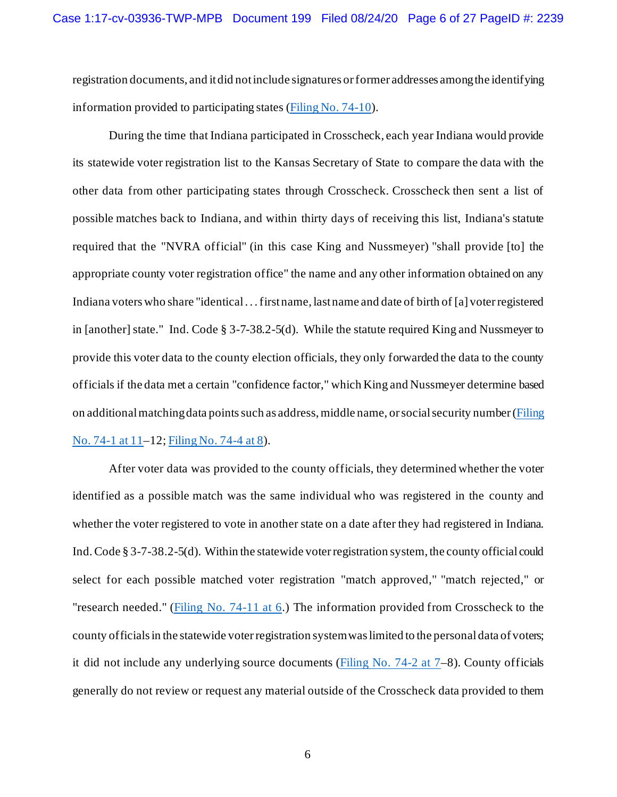registration documents, and it did not include signatures or former addresses among the identifying information provided to participating states [\(Filing No. 74-10\)](https://ecf.insd.uscourts.gov/doc1/07316464159).

During the time that Indiana participated in Crosscheck, each year Indiana would provide its statewide voter registration list to the Kansas Secretary of State to compare the data with the other data from other participating states through Crosscheck. Crosscheck then sent a list of possible matches back to Indiana, and within thirty days of receiving this list, Indiana's statute required that the "NVRA official" (in this case King and Nussmeyer) "shall provide [to] the appropriate county voter registration office" the name and any other information obtained on any Indiana voters who share "identical . . . first name, last name and date of birth of [a] voter registered in [another] state." Ind. Code § 3-7-38.2-5(d). While the statute required King and Nussmeyer to provide this voter data to the county election officials, they only forwarded the data to the county officials if the data met a certain "confidence factor," which King and Nussmeyer determine based on additional matching data pointssuch as address, middle name, or social security number [\(Filing](https://ecf.insd.uscourts.gov/doc1/07316464150?page=11)  [No. 74-1 at 11–](https://ecf.insd.uscourts.gov/doc1/07316464150?page=11)12[; Filing No. 74-4 at 8\)](https://ecf.insd.uscourts.gov/doc1/07316464153?page=8).

After voter data was provided to the county officials, they determined whether the voter identified as a possible match was the same individual who was registered in the county and whether the voter registered to vote in another state on a date after they had registered in Indiana. Ind. Code § 3-7-38.2-5(d). Within the statewide voter registration system, the county official could select for each possible matched voter registration "match approved," "match rejected," or "research needed." [\(Filing No. 74-11 at 6.](https://ecf.insd.uscourts.gov/doc1/07316464160?page=6)) The information provided from Crosscheck to the county officials in the statewide voter registration system was limited to the personal data of voters; it did not include any underlying source documents ( $\frac{Filing No. 74-2 at 7-8}{2}$ ). County officials generally do not review or request any material outside of the Crosscheck data provided to them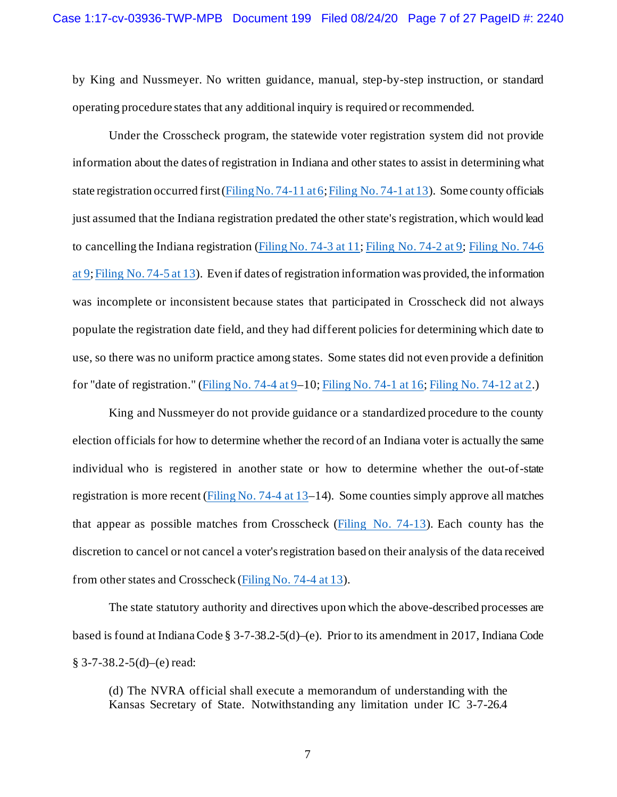by King and Nussmeyer. No written guidance, manual, step-by-step instruction, or standard operating procedure states that any additional inquiry is required or recommended.

Under the Crosscheck program, the statewide voter registration system did not provide information about the dates of registration in Indiana and other states to assist in determining what state registration occurred first [\(Filing No. 74-11 at 6;](https://ecf.insd.uscourts.gov/doc1/07316464160?page=6) [Filing No. 74-1 at 13\)](https://ecf.insd.uscourts.gov/doc1/07316464150?page=13). Some county officials just assumed that the Indiana registration predated the other state's registration, which would lead to cancelling the Indiana registration [\(Filing No. 74-3 at 11;](https://ecf.insd.uscourts.gov/doc1/07316464152?page=11) [Filing No. 74-2 at 9;](https://ecf.insd.uscourts.gov/doc1/07316464151?page=9) [Filing No.](https://ecf.insd.uscourts.gov/doc1/07316464155?page=9) 74-6 [at 9;](https://ecf.insd.uscourts.gov/doc1/07316464155?page=9) [Filing No. 74-5 at 13\)](https://ecf.insd.uscourts.gov/doc1/07316464154?page=13). Even if dates of registration information was provided, the information was incomplete or inconsistent because states that participated in Crosscheck did not always populate the registration date field, and they had different policies for determining which date to use, so there was no uniform practice among states. Some states did not even provide a definition for "date of registration." (Filing No. 74-4 at  $9-10$ [; Filing No. 74-1 at 16;](https://ecf.insd.uscourts.gov/doc1/07316464150?page=16) [Filing No. 74-12 at 2.](https://ecf.insd.uscourts.gov/doc1/07316464161?page=2))

King and Nussmeyer do not provide guidance or a standardized procedure to the county election officials for how to determine whether the record of an Indiana voter is actually the same individual who is registered in another state or how to determine whether the out-of-state registration is more recent ( $\frac{Filing No. 74-4 at 13-14}{F}$ ). Some counties simply approve all matches that appear as possible matches from Crosscheck [\(Filing No. 74-13\)](https://ecf.insd.uscourts.gov/doc1/07316464162). Each county has the discretion to cancel or not cancel a voter's registration based on their analysis of the data received from other states and Crosscheck [\(Filing No. 74-4 at 13\)](https://ecf.insd.uscourts.gov/doc1/07316464153?page=13).

The state statutory authority and directives upon which the above-described processes are based is found at Indiana Code § 3-7-38.2-5(d)–(e). Prior to its amendment in 2017, Indiana Code  $§$  3-7-38.2-5(d)–(e) read:

(d) The NVRA official shall execute a memorandum of understanding with the Kansas Secretary of State. Notwithstanding any limitation under IC 3-7-26.4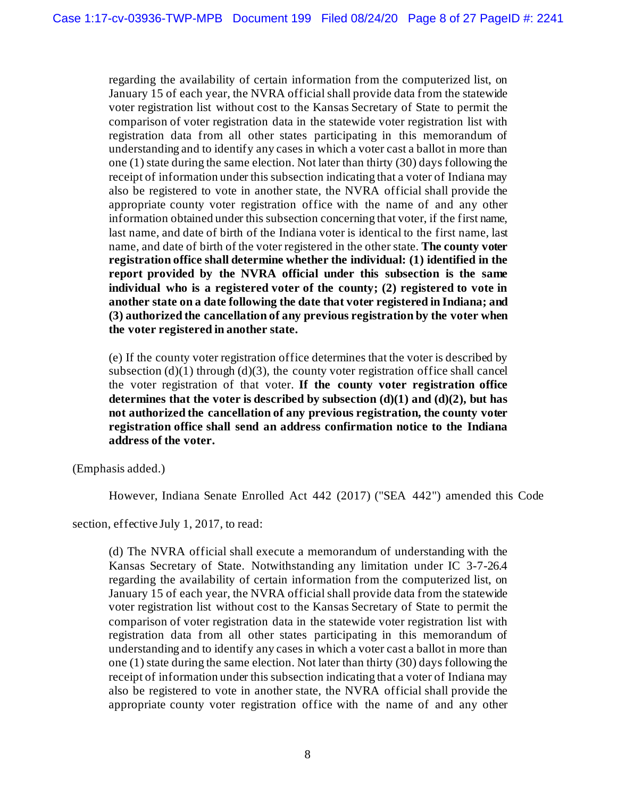regarding the availability of certain information from the computerized list, on January 15 of each year, the NVRA official shall provide data from the statewide voter registration list without cost to the Kansas Secretary of State to permit the comparison of voter registration data in the statewide voter registration list with registration data from all other states participating in this memorandum of understanding and to identify any cases in which a voter cast a ballot in more than one (1) state during the same election. Not later than thirty (30) days following the receipt of information under this subsection indicating that a voter of Indiana may also be registered to vote in another state, the NVRA official shall provide the appropriate county voter registration office with the name of and any other information obtained under this subsection concerning that voter, if the first name, last name, and date of birth of the Indiana voter is identical to the first name, last name, and date of birth of the voter registered in the other state. **The county voter registration office shall determine whether the individual: (1) identified in the report provided by the NVRA official under this subsection is the same individual who is a registered voter of the county; (2) registered to vote in another state on a date following the date that voter registered in Indiana; and (3) authorized the cancellation of any previous registration by the voter when the voter registered in another state.**

(e) If the county voter registration office determines that the voter is described by subsection  $(d)(1)$  through  $(d)(3)$ , the county voter registration office shall cancel the voter registration of that voter. **If the county voter registration office determines that the voter is described by subsection (d)(1) and (d)(2), but has not authorized the cancellation of any previous registration, the county voter registration office shall send an address confirmation notice to the Indiana address of the voter.**

(Emphasis added.)

However, Indiana Senate Enrolled Act 442 (2017) ("SEA 442") amended this Code

section, effective July 1, 2017, to read:

(d) The NVRA official shall execute a memorandum of understanding with the Kansas Secretary of State. Notwithstanding any limitation under IC 3-7-26.4 regarding the availability of certain information from the computerized list, on January 15 of each year, the NVRA official shall provide data from the statewide voter registration list without cost to the Kansas Secretary of State to permit the comparison of voter registration data in the statewide voter registration list with registration data from all other states participating in this memorandum of understanding and to identify any cases in which a voter cast a ballot in more than one (1) state during the same election. Not later than thirty (30) days following the receipt of information under this subsection indicating that a voter of Indiana may also be registered to vote in another state, the NVRA official shall provide the appropriate county voter registration office with the name of and any other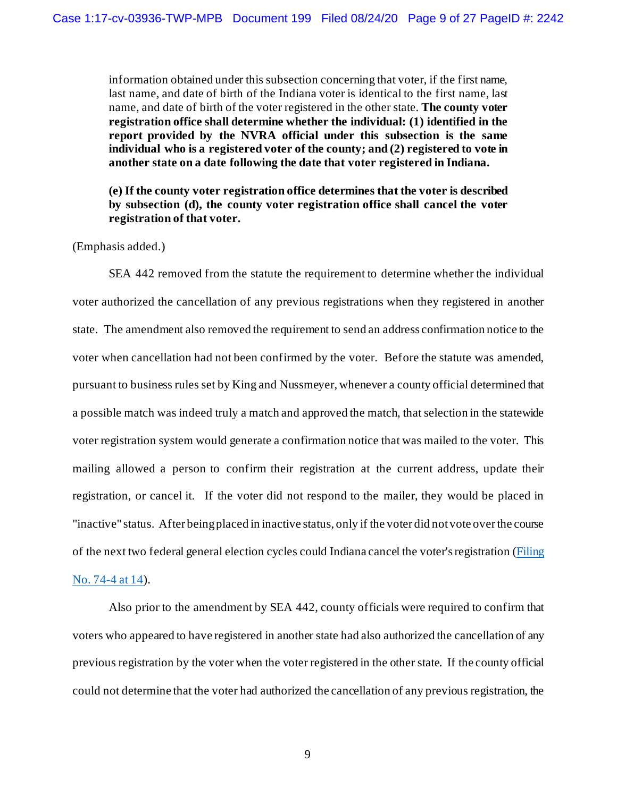information obtained under this subsection concerning that voter, if the first name, last name, and date of birth of the Indiana voter is identical to the first name, last name, and date of birth of the voter registered in the other state. **The county voter registration office shall determine whether the individual: (1) identified in the report provided by the NVRA official under this subsection is the same individual who is a registered voter of the county; and (2) registered to vote in another state on a date following the date that voter registered in Indiana.**

**(e) If the county voter registration office determines that the voter is described by subsection (d), the county voter registration office shall cancel the voter registration of that voter.**

(Emphasis added.)

SEA 442 removed from the statute the requirement to determine whether the individual voter authorized the cancellation of any previous registrations when they registered in another state. The amendment also removed the requirement to send an address confirmation notice to the voter when cancellation had not been confirmed by the voter. Before the statute was amended, pursuant to business rules set by King and Nussmeyer, whenever a county official determined that a possible match was indeed truly a match and approved the match, that selection in the statewide voter registration system would generate a confirmation notice that was mailed to the voter. This mailing allowed a person to confirm their registration at the current address, update their registration, or cancel it. If the voter did not respond to the mailer, they would be placed in "inactive" status. After being placed in inactive status, only if the voter did not vote over the course of the next two federal general election cycles could Indiana cancel the voter's registration [\(Filing](https://ecf.insd.uscourts.gov/doc1/07316464153?page=14)  [No. 74-4 at 14\)](https://ecf.insd.uscourts.gov/doc1/07316464153?page=14).

Also prior to the amendment by SEA 442, county officials were required to confirm that voters who appeared to have registered in another state had also authorized the cancellation of any previous registration by the voter when the voter registered in the other state. If the county official could not determine that the voter had authorized the cancellation of any previous registration, the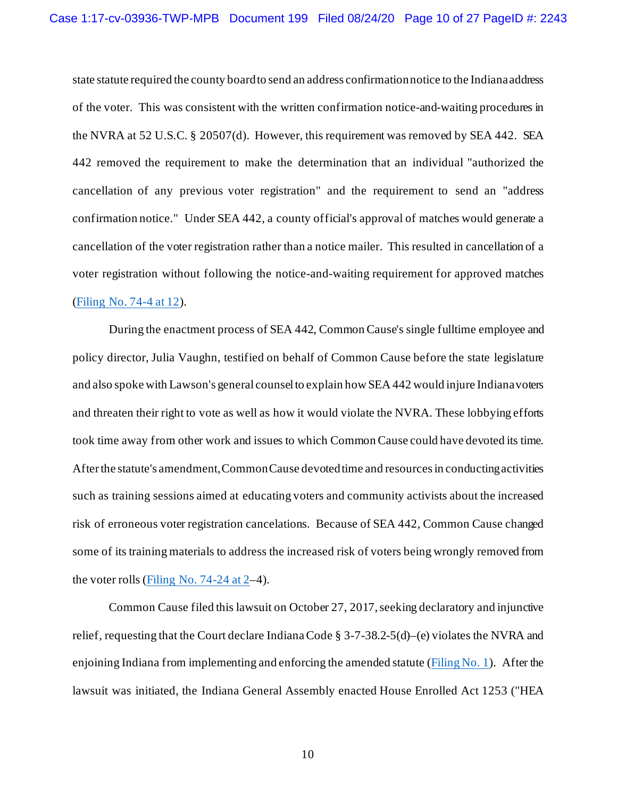state statute required the county board to send an address confirmation notice to the Indiana address of the voter. This was consistent with the written confirmation notice-and-waiting procedures in the NVRA at 52 U.S.C. § 20507(d). However, this requirement was removed by SEA 442. SEA 442 removed the requirement to make the determination that an individual "authorized the cancellation of any previous voter registration" and the requirement to send an "address confirmation notice." Under SEA 442, a county official's approval of matches would generate a cancellation of the voter registration rather than a notice mailer. This resulted in cancellation of a voter registration without following the notice-and-waiting requirement for approved matches [\(Filing No. 74-4 at 12\)](https://ecf.insd.uscourts.gov/doc1/07316464153?page=12).

During the enactment process of SEA 442, Common Cause's single fulltime employee and policy director, Julia Vaughn, testified on behalf of Common Cause before the state legislature and also spoke with Lawson's general counsel to explain how SEA 442 would injure Indiana voters and threaten their right to vote as well as how it would violate the NVRA. These lobbying efforts took time away from other work and issues to which Common Cause could have devoted its time. After the statute's amendment, Common Cause devoted time and resources in conducting activities such as training sessions aimed at educating voters and community activists about the increased risk of erroneous voter registration cancelations. Because of SEA 442, Common Cause changed some of its training materials to address the increased risk of voters being wrongly removed from the voter rolls [\(Filing No. 74-24 at 2–](https://ecf.insd.uscourts.gov/doc1/07316464173?page=2)4).

Common Cause filed this lawsuit on October 27, 2017, seeking declaratory and injunctive relief, requesting that the Court declare Indiana Code § 3-7-38.2-5(d)–(e) violates the NVRA and enjoining Indiana from implementing and enforcing the amended statute [\(Filing No. 1\)](https://ecf.insd.uscourts.gov/doc1/07316240450). After the lawsuit was initiated, the Indiana General Assembly enacted House Enrolled Act 1253 ("HEA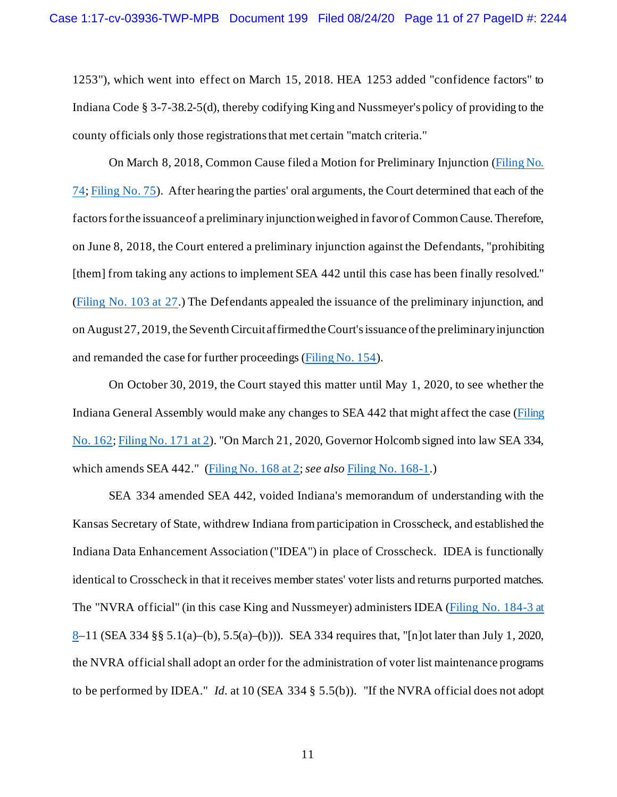1253"), which went into effect on March 15, 2018. HEA 1253 added "confidence factors" to Indiana Code § 3-7-38.2-5(d), thereby codifying King and Nussmeyer's policy of providing to the county officials only those registrations that met certain "match criteria."

On March 8, 2018, Common Cause filed a Motion for Preliminary Injunction [\(Filing No.](https://ecf.insd.uscourts.gov/doc1/07316464149)  [74;](https://ecf.insd.uscourts.gov/doc1/07316464149) [Filing No. 75\)](https://ecf.insd.uscourts.gov/doc1/07316464209). After hearing the parties' oral arguments, the Court determined that each of the factors for the issuance of a preliminary injunction weighed in favor of Common Cause. Therefore, on June 8, 2018, the Court entered a preliminary injunction against the Defendants, "prohibiting [them] from taking any actions to implement SEA 442 until this case has been finally resolved." [\(Filing No. 103 at 27.](https://ecf.insd.uscourts.gov/doc1/07316623248?page=27)) The Defendants appealed the issuance of the preliminary injunction, and on August 27, 2019, the Seventh Circuit affirmed the Court's issuance of the preliminary injunction and remanded the case for further proceedings [\(Filing No. 154\)](https://ecf.insd.uscourts.gov/doc1/07317507858).

On October 30, 2019, the Court stayed this matter until May 1, 2020, to see whether the Indiana General Assembly would make any changes to SEA 442 that might affect the case [\(Filing](https://ecf.insd.uscourts.gov/doc1/07317587800)  [No. 162](https://ecf.insd.uscourts.gov/doc1/07317587800)[; Filing No. 171 at 2\)](https://ecf.insd.uscourts.gov/doc1/07317963709?page=2). "On March 21, 2020, Governor Holcomb signed into law SEA 334, which amends SEA 442." [\(Filing No. 168 at 2;](https://ecf.insd.uscourts.gov/doc1/07317945093?page=2) *see also* [Filing No.](https://ecf.insd.uscourts.gov/doc1/07317945094) 168-1.)

SEA 334 amended SEA 442, voided Indiana's memorandum of understanding with the Kansas Secretary of State, withdrew Indiana from participation in Crosscheck, and established the Indiana Data Enhancement Association ("IDEA") in place of Crosscheck. IDEA is functionally identical to Crosscheck in that it receives member states' voter lists and returns purported matches. The "NVRA official" (in this case King and Nussmeyer) administers IDEA [\(Filing No. 184-3 at](https://ecf.insd.uscourts.gov/doc1/07318034916?page=8)  [8–](https://ecf.insd.uscourts.gov/doc1/07318034916?page=8)11 (SEA 334 §§ 5.1(a)–(b), 5.5(a)–(b))). SEA 334 requires that, "[n]ot later than July 1, 2020, the NVRA official shall adopt an order for the administration of voter list maintenance programs to be performed by IDEA." *Id.* at 10 (SEA 334 § 5.5(b)). "If the NVRA official does not adopt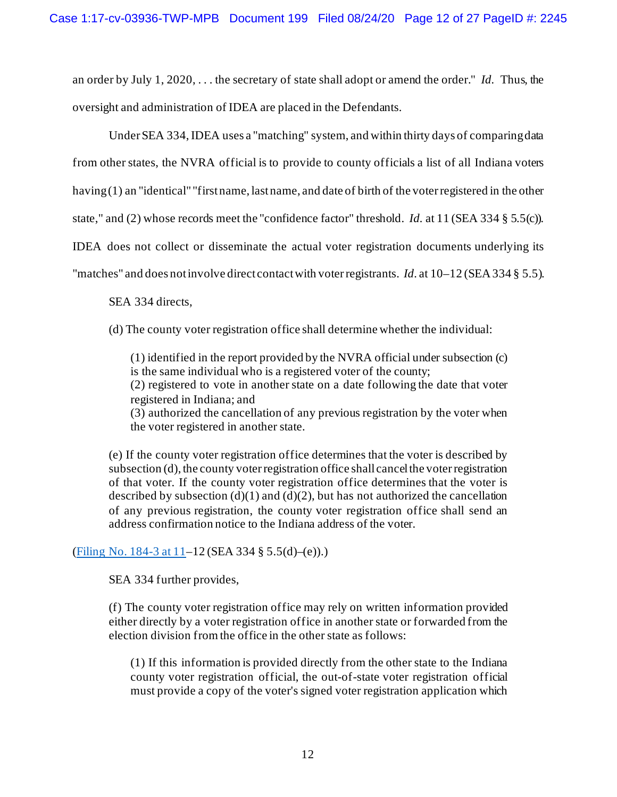an order by July 1, 2020, . . . the secretary of state shall adopt or amend the order." *Id.* Thus, the oversight and administration of IDEA are placed in the Defendants.

Under SEA 334, IDEA uses a "matching" system, and within thirty days of comparing data from other states, the NVRA official is to provide to county officials a list of all Indiana voters having (1) an "identical" "first name, last name, and date of birth of the voter registered in the other state," and (2) whose records meet the "confidence factor" threshold. *Id.* at 11 (SEA 334 § 5.5(c)). IDEA does not collect or disseminate the actual voter registration documents underlying its "matches" and does not involve direct contact with voter registrants. *Id.* at 10–12 (SEA 334 § 5.5).

SEA 334 directs,

(d) The county voter registration office shall determine whether the individual:

(1) identified in the report provided by the NVRA official under subsection (c) is the same individual who is a registered voter of the county;

(2) registered to vote in another state on a date following the date that voter registered in Indiana; and

(3) authorized the cancellation of any previous registration by the voter when the voter registered in another state.

(e) If the county voter registration office determines that the voter is described by subsection (d), the county voter registration office shall cancel the voter registration of that voter. If the county voter registration office determines that the voter is described by subsection  $(d)(1)$  and  $(d)(2)$ , but has not authorized the cancellation of any previous registration, the county voter registration office shall send an address confirmation notice to the Indiana address of the voter.

[\(Filing No. 184-3 at 11–](https://ecf.insd.uscourts.gov/doc1/07318034916?page=11)12 (SEA 334 § 5.5(d)–(e)).)

SEA 334 further provides,

(f) The county voter registration office may rely on written information provided either directly by a voter registration office in another state or forwarded from the election division from the office in the other state as follows:

(1) If this information is provided directly from the other state to the Indiana county voter registration official, the out-of-state voter registration official must provide a copy of the voter's signed voter registration application which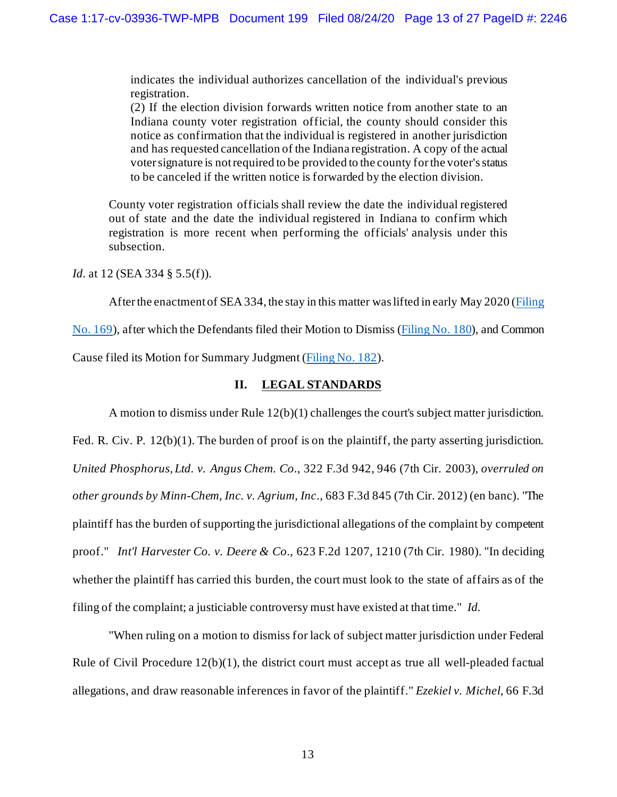indicates the individual authorizes cancellation of the individual's previous registration.

(2) If the election division forwards written notice from another state to an Indiana county voter registration official, the county should consider this notice as confirmation that the individual is registered in another jurisdiction and has requested cancellation of the Indiana registration. A copy of the actual voter signature is not required to be provided to the county for the voter's status to be canceled if the written notice is forwarded by the election division.

County voter registration officials shall review the date the individual registered out of state and the date the individual registered in Indiana to confirm which registration is more recent when performing the officials' analysis under this subsection.

*Id.* at 12 (SEA 334 § 5.5(f)).

After the enactment of SEA 334, the stay in this matter was lifted in early May 2020 [\(Filing](https://ecf.insd.uscourts.gov/doc1/07317946367) 

[No. 169\)](https://ecf.insd.uscourts.gov/doc1/07317946367), after which the Defendants filed their Motion to Dismiss [\(Filing No. 180](https://ecf.insd.uscourts.gov/doc1/07318034840)), and Common

Cause filed its Motion for Summary Judgment [\(Filing No. 182\)](https://ecf.insd.uscourts.gov/doc1/07318034886).

## **II. LEGAL STANDARDS**

A motion to dismiss under Rule 12(b)(1) challenges the court's subject matter jurisdiction. Fed. R. Civ. P. 12(b)(1). The burden of proof is on the plaintiff, the party asserting jurisdiction. *United Phosphorus, Ltd. v. Angus Chem. Co*., 322 F.3d 942, 946 (7th Cir. 2003), *overruled on other grounds by Minn-Chem, Inc. v. Agrium, Inc*., 683 F.3d 845 (7th Cir. 2012) (en banc). "The plaintiff has the burden of supporting the jurisdictional allegations of the complaint by competent proof." *Int'l Harvester Co. v. Deere & Co*., 623 F.2d 1207, 1210 (7th Cir. 1980). "In deciding whether the plaintiff has carried this burden, the court must look to the state of affairs as of the filing of the complaint; a justiciable controversy must have existed at that time." *Id.*

"When ruling on a motion to dismiss for lack of subject matter jurisdiction under Federal Rule of Civil Procedure 12(b)(1), the district court must accept as true all well-pleaded factual allegations, and draw reasonable inferences in favor of the plaintiff." *Ezekiel v. Michel*, 66 F.3d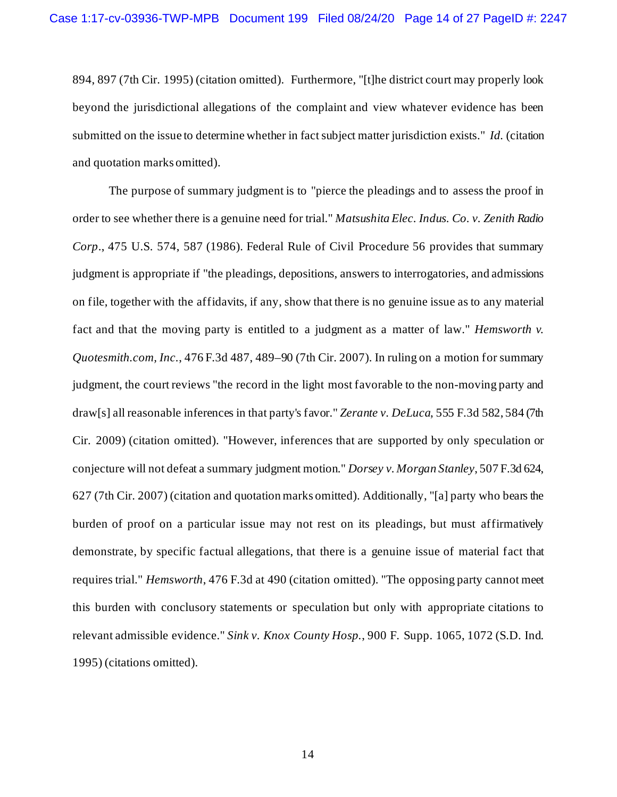894, 897 (7th Cir. 1995) (citation omitted). Furthermore, "[t]he district court may properly look beyond the jurisdictional allegations of the complaint and view whatever evidence has been submitted on the issue to determine whether in fact subject matter jurisdiction exists." *Id.* (citation and quotation marks omitted).

The purpose of summary judgment is to "pierce the pleadings and to assess the proof in order to see whether there is a genuine need for trial." *Matsushita Elec. Indus. Co. v. Zenith Radio Corp*., 475 U.S. 574, 587 (1986). Federal Rule of Civil Procedure 56 provides that summary judgment is appropriate if "the pleadings, depositions, answers to interrogatories, and admissions on file, together with the affidavits, if any, show that there is no genuine issue as to any material fact and that the moving party is entitled to a judgment as a matter of law." *Hemsworth v. Quotesmith.com, Inc.*, 476 F.3d 487, 489–90 (7th Cir. 2007). In ruling on a motion for summary judgment, the court reviews "the record in the light most favorable to the non-moving party and draw[s] all reasonable inferences in that party's favor." *Zerante v. DeLuca*, 555 F.3d 582, 584 (7th Cir. 2009) (citation omitted). "However, inferences that are supported by only speculation or conjecture will not defeat a summary judgment motion." *Dorsey v. Morgan Stanley*, 507 F.3d 624, 627 (7th Cir. 2007) (citation and quotation marks omitted). Additionally, "[a] party who bears the burden of proof on a particular issue may not rest on its pleadings, but must affirmatively demonstrate, by specific factual allegations, that there is a genuine issue of material fact that requires trial." *Hemsworth*, 476 F.3d at 490 (citation omitted). "The opposing party cannot meet this burden with conclusory statements or speculation but only with appropriate citations to relevant admissible evidence." *Sink v. Knox County Hosp.*, 900 F. Supp. 1065, 1072 (S.D. Ind. 1995) (citations omitted).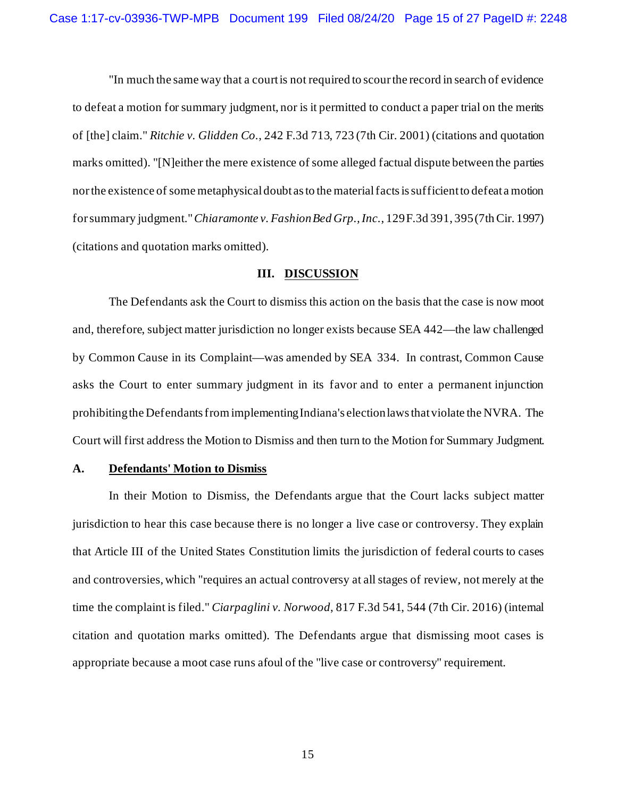"In much the same way that a court is not required to scour the record in search of evidence to defeat a motion for summary judgment, nor is it permitted to conduct a paper trial on the merits of [the] claim." *Ritchie v. Glidden Co.*, 242 F.3d 713, 723 (7th Cir. 2001) (citations and quotation marks omitted). "[N]either the mere existence of some alleged factual dispute between the parties nor the existence of some metaphysical doubt as to the material facts is sufficient to defeat a motion for summary judgment."*Chiaramonte v. Fashion Bed Grp., Inc.*, 129 F.3d 391, 395 (7th Cir. 1997) (citations and quotation marks omitted).

#### **III. DISCUSSION**

The Defendants ask the Court to dismiss this action on the basis that the case is now moot and, therefore, subject matter jurisdiction no longer exists because SEA 442—the law challenged by Common Cause in its Complaint—was amended by SEA 334. In contrast, Common Cause asks the Court to enter summary judgment in its favor and to enter a permanent injunction prohibiting the Defendants from implementing Indiana's election laws that violate the NVRA. The Court will first address the Motion to Dismiss and then turn to the Motion for Summary Judgment.

### **A. Defendants' Motion to Dismiss**

In their Motion to Dismiss, the Defendants argue that the Court lacks subject matter jurisdiction to hear this case because there is no longer a live case or controversy. They explain that Article III of the United States Constitution limits the jurisdiction of federal courts to cases and controversies, which "requires an actual controversy at all stages of review, not merely at the time the complaint is filed." *Ciarpaglini v. Norwood*, 817 F.3d 541, 544 (7th Cir. 2016) (internal citation and quotation marks omitted). The Defendants argue that dismissing moot cases is appropriate because a moot case runs afoul of the "live case or controversy" requirement.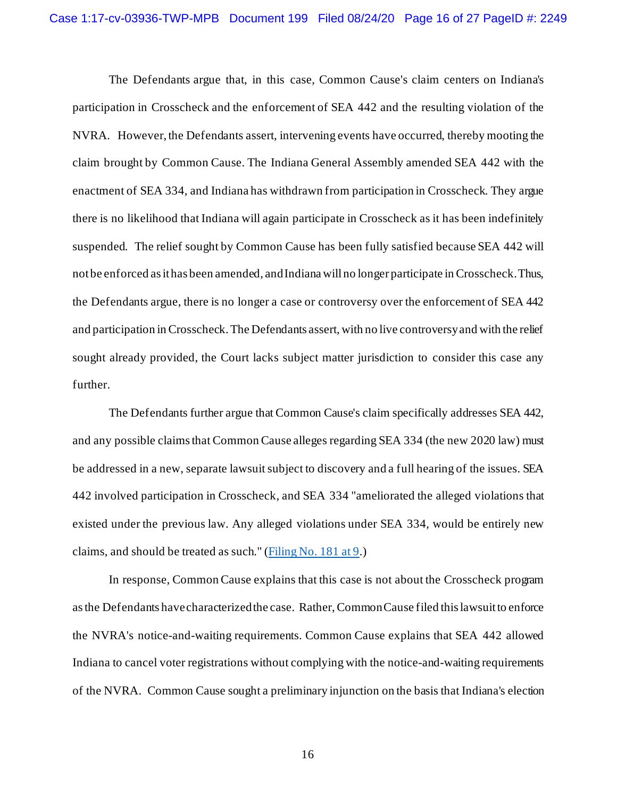The Defendants argue that, in this case, Common Cause's claim centers on Indiana's participation in Crosscheck and the enforcement of SEA 442 and the resulting violation of the NVRA. However, the Defendants assert, intervening events have occurred, thereby mooting the claim brought by Common Cause. The Indiana General Assembly amended SEA 442 with the enactment of SEA 334, and Indiana has withdrawn from participation in Crosscheck. They argue there is no likelihood that Indiana will again participate in Crosscheck as it has been indefinitely suspended. The relief sought by Common Cause has been fully satisfied because SEA 442 will not be enforced as it has been amended, and Indiana will no longer participate in Crosscheck. Thus, the Defendants argue, there is no longer a case or controversy over the enforcement of SEA 442 and participation in Crosscheck. The Defendants assert, with no live controversy and with the relief sought already provided, the Court lacks subject matter jurisdiction to consider this case any further.

The Defendants further argue that Common Cause's claim specifically addresses SEA 442, and any possible claims that Common Cause alleges regarding SEA 334 (the new 2020 law) must be addressed in a new, separate lawsuit subject to discovery and a full hearing of the issues. SEA 442 involved participation in Crosscheck, and SEA 334 "ameliorated the alleged violations that existed under the previous law. Any alleged violations under SEA 334, would be entirely new claims, and should be treated as such." [\(Filing No. 181 at 9.](https://ecf.insd.uscourts.gov/doc1/07318034844?page=9))

In response, Common Cause explains that this case is not about the Crosscheck program as the Defendants have characterized the case. Rather, Common Cause filed this lawsuit to enforce the NVRA's notice-and-waiting requirements. Common Cause explains that SEA 442 allowed Indiana to cancel voter registrations without complying with the notice-and-waiting requirements of the NVRA. Common Cause sought a preliminary injunction on the basis that Indiana's election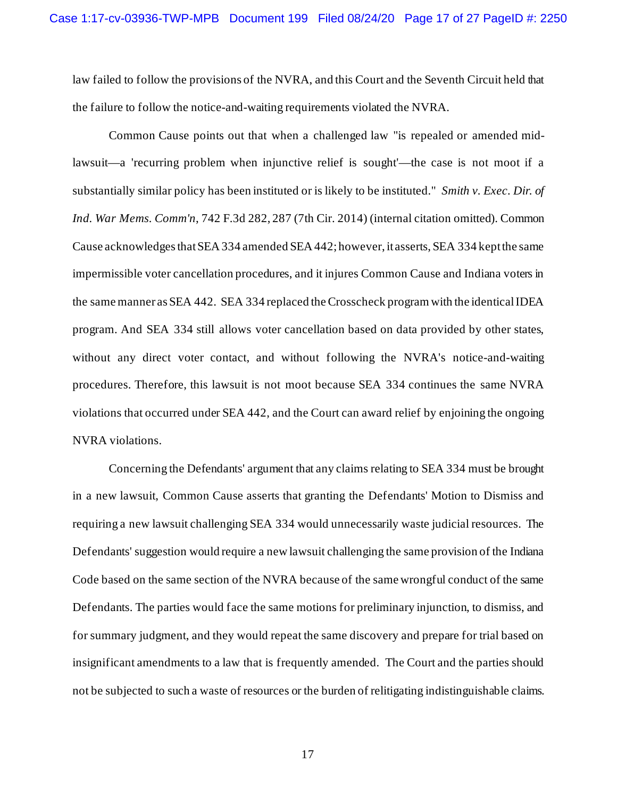law failed to follow the provisions of the NVRA, and this Court and the Seventh Circuit held that the failure to follow the notice-and-waiting requirements violated the NVRA.

Common Cause points out that when a challenged law "is repealed or amended midlawsuit—a 'recurring problem when injunctive relief is sought'—the case is not moot if a substantially similar policy has been instituted or is likely to be instituted." *Smith v. Exec. Dir. of Ind. War Mems. Comm'n*, 742 F.3d 282, 287 (7th Cir. 2014) (internal citation omitted). Common Cause acknowledgesthat SEA 334 amended SEA 442; however, it asserts, SEA 334 keptthe same impermissible voter cancellation procedures, and it injures Common Cause and Indiana voters in the same manner as SEA 442. SEA 334 replaced the Crosscheck program with the identical IDEA program. And SEA 334 still allows voter cancellation based on data provided by other states, without any direct voter contact, and without following the NVRA's notice-and-waiting procedures. Therefore, this lawsuit is not moot because SEA 334 continues the same NVRA violations that occurred under SEA 442, and the Court can award relief by enjoining the ongoing NVRA violations.

Concerning the Defendants' argument that any claims relating to SEA 334 must be brought in a new lawsuit, Common Cause asserts that granting the Defendants' Motion to Dismiss and requiring a new lawsuit challenging SEA 334 would unnecessarily waste judicial resources. The Defendants' suggestion would require a new lawsuit challenging the same provision of the Indiana Code based on the same section of the NVRA because of the same wrongful conduct of the same Defendants. The parties would face the same motions for preliminary injunction, to dismiss, and for summary judgment, and they would repeat the same discovery and prepare for trial based on insignificant amendments to a law that is frequently amended. The Court and the parties should not be subjected to such a waste of resources or the burden of relitigating indistinguishable claims.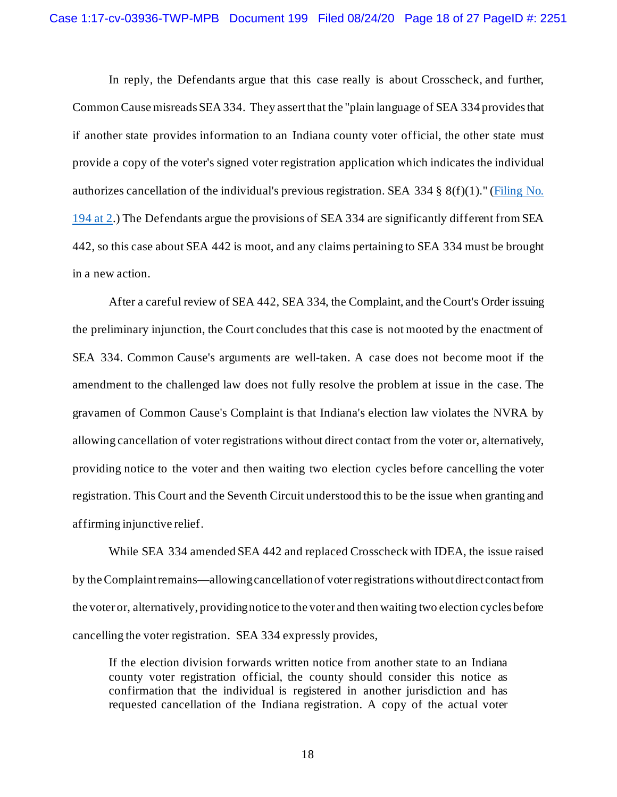In reply, the Defendants argue that this case really is about Crosscheck, and further, Common Cause misreads SEA 334. They assert that the "plain language of SEA 334 provides that if another state provides information to an Indiana county voter official, the other state must provide a copy of the voter's signed voter registration application which indicates the individual authorizes cancellation of the individual's previous registration. SEA 334 § 8(f)(1)." [\(Filing No.](https://ecf.insd.uscourts.gov/doc1/07318072015?page=2)  [194 at 2.](https://ecf.insd.uscourts.gov/doc1/07318072015?page=2)) The Defendants argue the provisions of SEA 334 are significantly different from SEA 442, so this case about SEA 442 is moot, and any claims pertaining to SEA 334 must be brought in a new action.

After a careful review of SEA 442, SEA 334, the Complaint, and the Court's Order issuing the preliminary injunction, the Court concludes that this case is not mooted by the enactment of SEA 334. Common Cause's arguments are well-taken. A case does not become moot if the amendment to the challenged law does not fully resolve the problem at issue in the case. The gravamen of Common Cause's Complaint is that Indiana's election law violates the NVRA by allowing cancellation of voter registrations without direct contact from the voter or, alternatively, providing notice to the voter and then waiting two election cycles before cancelling the voter registration. This Court and the Seventh Circuit understood this to be the issue when granting and affirming injunctive relief.

While SEA 334 amended SEA 442 and replaced Crosscheck with IDEA, the issue raised by the Complaint remains—allowing cancellation of voter registrations without direct contact from the voter or, alternatively, providing notice to the voter and then waiting two election cycles before cancelling the voter registration. SEA 334 expressly provides,

If the election division forwards written notice from another state to an Indiana county voter registration official, the county should consider this notice as confirmation that the individual is registered in another jurisdiction and has requested cancellation of the Indiana registration. A copy of the actual voter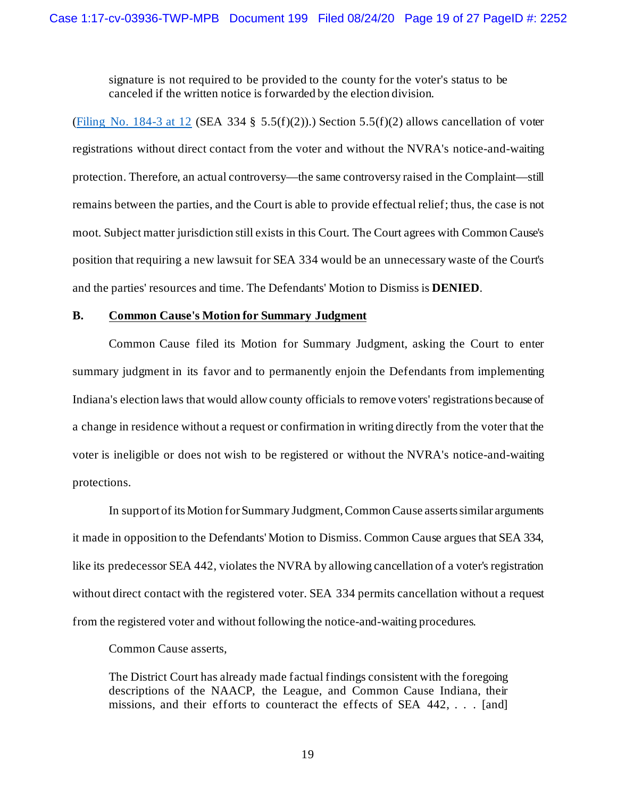signature is not required to be provided to the county for the voter's status to be canceled if the written notice is forwarded by the election division.

[\(Filing No. 184-3 at 12](https://ecf.insd.uscourts.gov/doc1/07318034916?page=12) (SEA 334 § 5.5(f)(2)).) Section 5.5(f)(2) allows cancellation of voter registrations without direct contact from the voter and without the NVRA's notice-and-waiting protection. Therefore, an actual controversy—the same controversy raised in the Complaint—still remains between the parties, and the Court is able to provide effectual relief; thus, the case is not moot. Subject matter jurisdiction still exists in this Court. The Court agrees with Common Cause's position that requiring a new lawsuit for SEA 334 would be an unnecessary waste of the Court's and the parties' resources and time. The Defendants' Motion to Dismiss is **DENIED**.

#### **B. Common Cause's Motion for Summary Judgment**

Common Cause filed its Motion for Summary Judgment, asking the Court to enter summary judgment in its favor and to permanently enjoin the Defendants from implementing Indiana's election laws that would allow county officials to remove voters' registrations because of a change in residence without a request or confirmation in writing directly from the voter that the voter is ineligible or does not wish to be registered or without the NVRA's notice-and-waiting protections.

In support of its Motion for Summary Judgment, Common Cause asserts similar arguments it made in opposition to the Defendants' Motion to Dismiss. Common Cause argues that SEA 334, like its predecessor SEA 442, violates the NVRA by allowing cancellation of a voter's registration without direct contact with the registered voter. SEA 334 permits cancellation without a request from the registered voter and without following the notice-and-waiting procedures.

Common Cause asserts,

The District Court has already made factual findings consistent with the foregoing descriptions of the NAACP, the League, and Common Cause Indiana, their missions, and their efforts to counteract the effects of SEA 442, ... [and]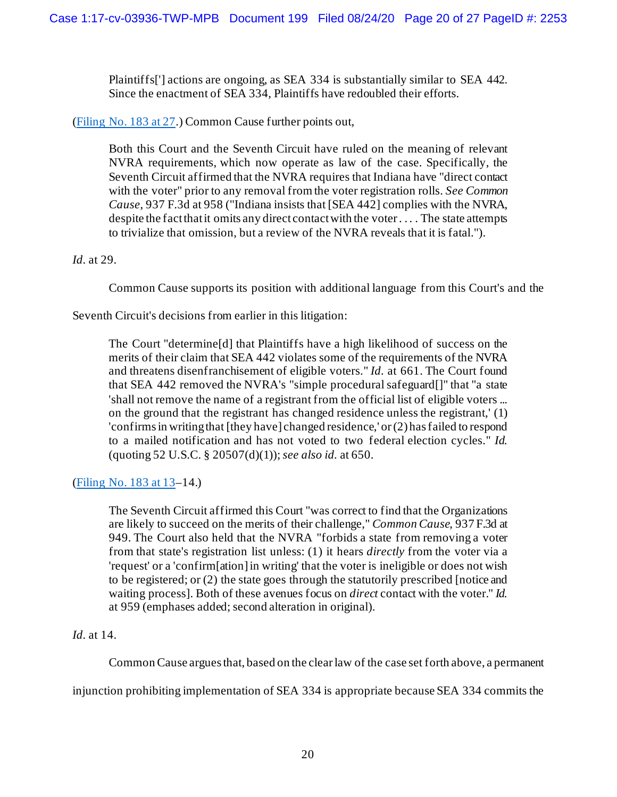Plaintiffs['] actions are ongoing, as SEA 334 is substantially similar to SEA 442. Since the enactment of SEA 334, Plaintiffs have redoubled their efforts.

[\(Filing No. 183 at 27.](https://ecf.insd.uscourts.gov/doc1/07318034892?page=27)) Common Cause further points out,

Both this Court and the Seventh Circuit have ruled on the meaning of relevant NVRA requirements, which now operate as law of the case. Specifically, the Seventh Circuit affirmed that the NVRA requires that Indiana have "direct contact with the voter" prior to any removal from the voter registration rolls. *See Common Cause*, 937 F.3d at 958 ("Indiana insists that [SEA 442] complies with the NVRA, despite the fact that it omits any direct contactwith the voter . . . . The state attempts to trivialize that omission, but a review of the NVRA reveals that it is fatal.").

# *Id.* at 29.

Common Cause supports its position with additional language from this Court's and the

Seventh Circuit's decisions from earlier in this litigation:

The Court "determine[d] that Plaintiffs have a high likelihood of success on the merits of their claim that SEA 442 violates some of the requirements of the NVRA and threatens disenfranchisement of eligible voters." *Id.* at 661. The Court found that SEA 442 removed the NVRA's "simple procedural safeguard[]" that "a state 'shall not remove the name of a registrant from the official list of eligible voters ... on the ground that the registrant has changed residence unless the registrant,' (1) 'confirms in writing that [they have] changed residence,' or (2) has failed to respond to a mailed notification and has not voted to two federal election cycles." *Id.* (quoting 52 U.S.C. § 20507(d)(1)); *see also id.* at 650.

# [\(Filing No. 183 at 13–](https://ecf.insd.uscourts.gov/doc1/07318034892?page=13)14.)

The Seventh Circuit affirmed this Court "was correct to find that the Organizations are likely to succeed on the merits of their challenge," *Common Cause*, 937 F.3d at 949. The Court also held that the NVRA "forbids a state from removing a voter from that state's registration list unless: (1) it hears *directly* from the voter via a 'request' or a 'confirm[ation] in writing' that the voter is ineligible or does not wish to be registered; or (2) the state goes through the statutorily prescribed [notice and waiting process]. Both of these avenues focus on *direct* contact with the voter." *Id.* at 959 (emphases added; second alteration in original).

# *Id.* at 14.

Common Cause argues that, based on the clear law of the case set forth above, a permanent

injunction prohibiting implementation of SEA 334 is appropriate because SEA 334 commits the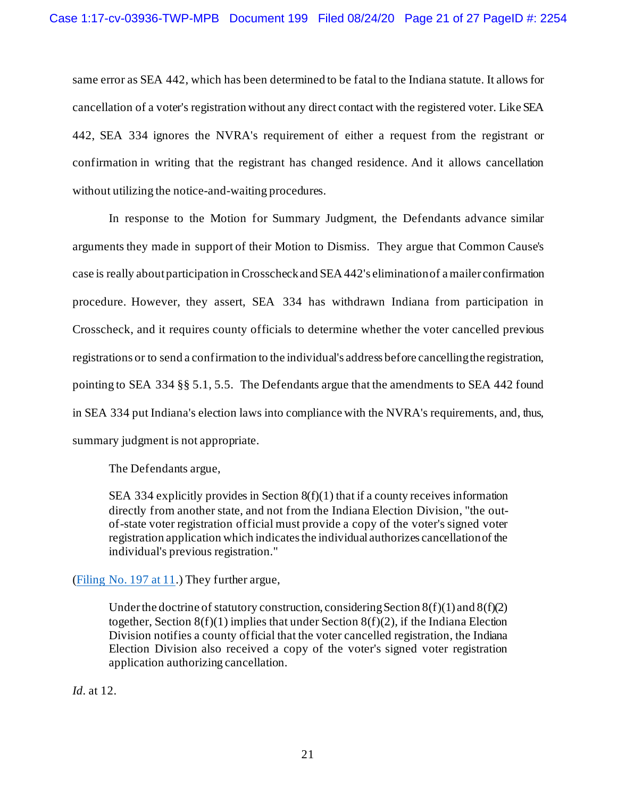same error as SEA 442, which has been determined to be fatal to the Indiana statute. It allows for cancellation of a voter's registration without any direct contact with the registered voter. Like SEA 442, SEA 334 ignores the NVRA's requirement of either a request from the registrant or confirmation in writing that the registrant has changed residence. And it allows cancellation without utilizing the notice-and-waiting procedures.

In response to the Motion for Summary Judgment, the Defendants advance similar arguments they made in support of their Motion to Dismiss. They argue that Common Cause's case is really about participation in Crosscheck and SEA 442's elimination of a mailer confirmation procedure. However, they assert, SEA 334 has withdrawn Indiana from participation in Crosscheck, and it requires county officials to determine whether the voter cancelled previous registrations or to send a confirmation to the individual's address before cancelling the registration, pointing to SEA 334 §§ 5.1, 5.5. The Defendants argue that the amendments to SEA 442 found in SEA 334 put Indiana's election laws into compliance with the NVRA's requirements, and, thus, summary judgment is not appropriate.

The Defendants argue,

SEA 334 explicitly provides in Section 8(f)(1) that if a county receives information directly from another state, and not from the Indiana Election Division, "the outof-state voter registration official must provide a copy of the voter's signed voter registration application which indicates the individual authorizes cancellation of the individual's previous registration."

(Filing No. 197  $at 11$ .) They further argue,

Under the doctrine of statutory construction, considering Section  $8(f)(1)$  and  $8(f)(2)$ together, Section  $8(f)(1)$  implies that under Section  $8(f)(2)$ , if the Indiana Election Division notifies a county official that the voter cancelled registration, the Indiana Election Division also received a copy of the voter's signed voter registration application authorizing cancellation.

*Id.* at 12.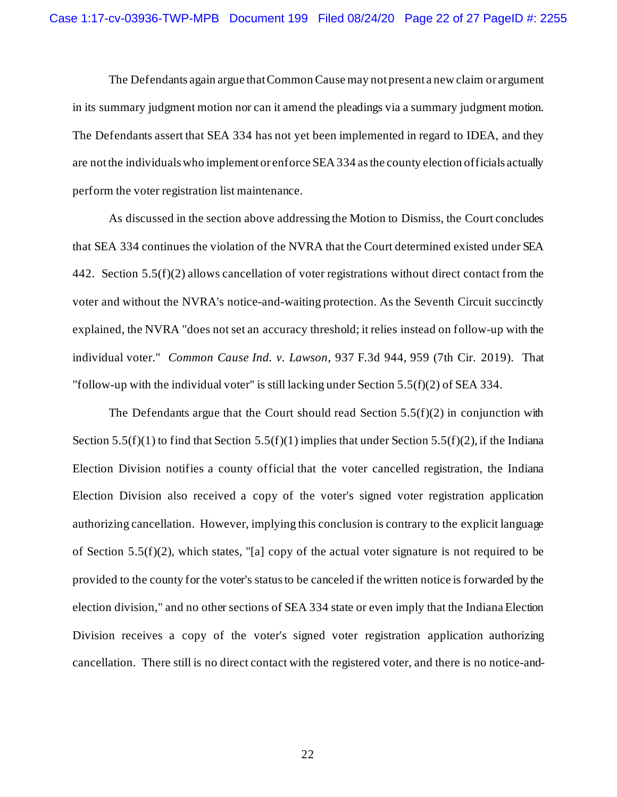The Defendants again argue that Common Cause may not present a new claim or argument in its summary judgment motion nor can it amend the pleadings via a summary judgment motion. The Defendants assert that SEA 334 has not yet been implemented in regard to IDEA, and they are not the individuals who implement or enforce SEA 334 as the county election officials actually perform the voter registration list maintenance.

As discussed in the section above addressing the Motion to Dismiss, the Court concludes that SEA 334 continues the violation of the NVRA that the Court determined existed under SEA 442. Section 5.5(f)(2) allows cancellation of voter registrations without direct contact from the voter and without the NVRA's notice-and-waiting protection. As the Seventh Circuit succinctly explained, the NVRA "does not set an accuracy threshold; it relies instead on follow-up with the individual voter." *Common Cause Ind. v. Lawson*, 937 F.3d 944, 959 (7th Cir. 2019). That "follow-up with the individual voter" is still lacking under Section 5.5(f)(2) of SEA 334.

The Defendants argue that the Court should read Section  $5.5(f)(2)$  in conjunction with Section  $5.5(f)(1)$  to find that Section  $5.5(f)(1)$  implies that under Section  $5.5(f)(2)$ , if the Indiana Election Division notifies a county official that the voter cancelled registration, the Indiana Election Division also received a copy of the voter's signed voter registration application authorizing cancellation. However, implying this conclusion is contrary to the explicit language of Section 5.5(f)(2), which states, "[a] copy of the actual voter signature is not required to be provided to the county for the voter's status to be canceled if the written notice is forwarded by the election division," and no other sections of SEA 334 state or even imply that the Indiana Election Division receives a copy of the voter's signed voter registration application authorizing cancellation. There still is no direct contact with the registered voter, and there is no notice-and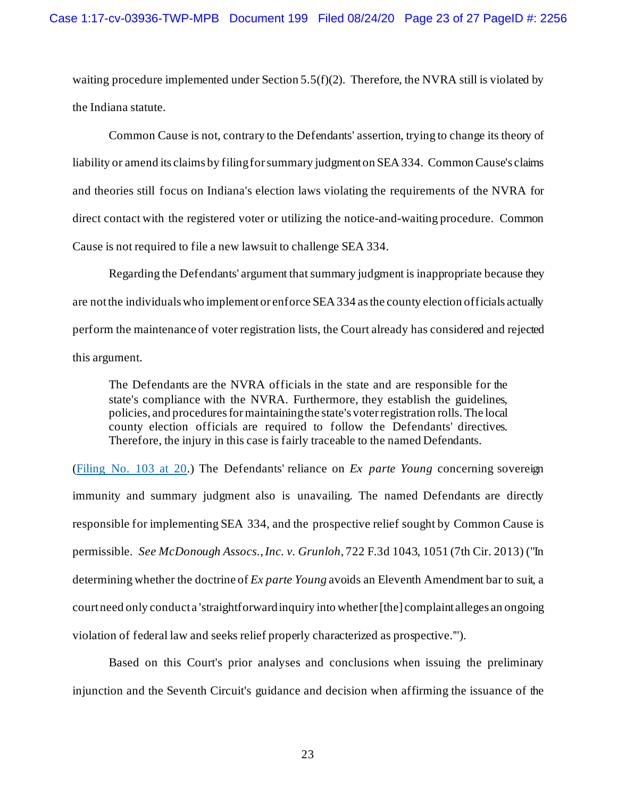waiting procedure implemented under Section 5.5(f)(2). Therefore, the NVRA still is violated by the Indiana statute.

Common Cause is not, contrary to the Defendants' assertion, trying to change its theory of liability or amend its claims by filing for summary judgment on SEA 334. Common Cause's claims and theories still focus on Indiana's election laws violating the requirements of the NVRA for direct contact with the registered voter or utilizing the notice-and-waiting procedure. Common Cause is not required to file a new lawsuit to challenge SEA 334.

Regarding the Defendants' argument that summary judgment is inappropriate because they are not the individuals who implement or enforce SEA 334 as the county election officials actually perform the maintenance of voter registration lists, the Court already has considered and rejected this argument.

The Defendants are the NVRA officials in the state and are responsible for the state's compliance with the NVRA. Furthermore, they establish the guidelines, policies, and procedures for maintaining the state's voter registration rolls. The local county election officials are required to follow the Defendants' directives. Therefore, the injury in this case is fairly traceable to the named Defendants.

[\(Filing No. 103 at 20.](https://ecf.insd.uscourts.gov/doc1/07316623248?page=20)) The Defendants' reliance on *Ex parte Young* concerning sovereign immunity and summary judgment also is unavailing. The named Defendants are directly responsible for implementing SEA 334, and the prospective relief sought by Common Cause is permissible. *See McDonough Assocs., Inc. v. Grunloh*, 722 F.3d 1043, 1051 (7th Cir. 2013) ("In determining whether the doctrine of *Ex parte Young* avoids an Eleventh Amendment bar to suit, a court need only conduct a 'straightforward inquiry into whether [the] complaint alleges an ongoing violation of federal law and seeks relief properly characterized as prospective.'").

Based on this Court's prior analyses and conclusions when issuing the preliminary injunction and the Seventh Circuit's guidance and decision when affirming the issuance of the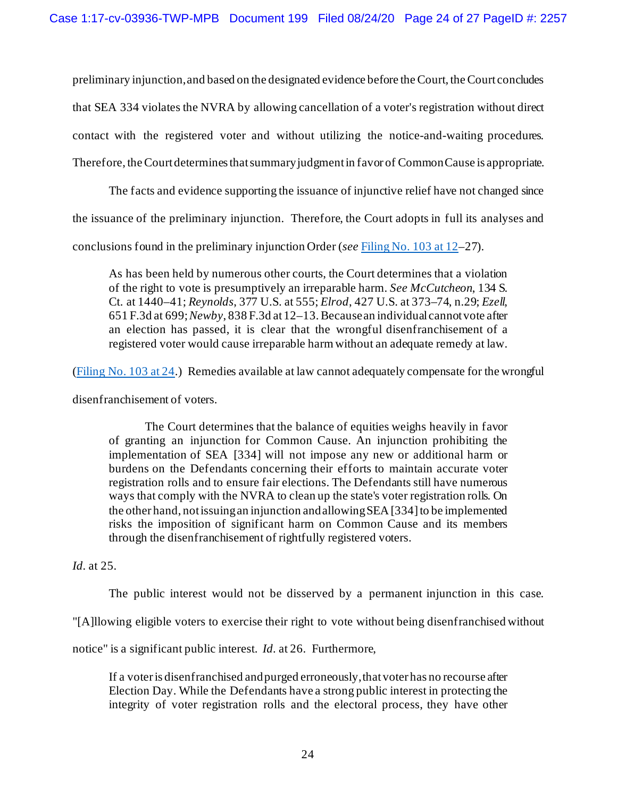preliminary injunction, and based on the designated evidence before the Court, the Court concludes that SEA 334 violates the NVRA by allowing cancellation of a voter's registration without direct contact with the registered voter and without utilizing the notice-and-waiting procedures. Therefore, the Court determines that summary judgment in favor of Common Cause is appropriate.

The facts and evidence supporting the issuance of injunctive relief have not changed since

the issuance of the preliminary injunction. Therefore, the Court adopts in full its analyses and

conclusions found in the preliminary injunction Order (*see* [Filing No. 103 at 12–](https://ecf.insd.uscourts.gov/doc1/07316623248?page=12)27).

As has been held by numerous other courts, the Court determines that a violation of the right to vote is presumptively an irreparable harm. *See McCutcheon*, 134 S. Ct. at 1440–41; *Reynolds*, 377 U.S. at 555; *Elrod*, 427 U.S. at 373–74, n.29; *Ezell*, 651 F.3d at 699; *Newby*, 838 F.3d at 12–13. Because an individual cannot vote after an election has passed, it is clear that the wrongful disenfranchisement of a registered voter would cause irreparable harm without an adequate remedy at law.

[\(Filing No. 103 at 24.](https://ecf.insd.uscourts.gov/doc1/07316623248?page=24)) Remedies available at law cannot adequately compensate for the wrongful

disenfranchisement of voters.

The Court determines that the balance of equities weighs heavily in favor of granting an injunction for Common Cause. An injunction prohibiting the implementation of SEA [334] will not impose any new or additional harm or burdens on the Defendants concerning their efforts to maintain accurate voter registration rolls and to ensure fair elections. The Defendants still have numerous ways that comply with the NVRA to clean up the state's voter registration rolls. On the other hand, not issuing an injunction and allowing SEA [334] to be implemented risks the imposition of significant harm on Common Cause and its members through the disenfranchisement of rightfully registered voters.

*Id.* at 25.

The public interest would not be disserved by a permanent injunction in this case.

"[A]llowing eligible voters to exercise their right to vote without being disenfranchised without

notice" is a significant public interest. *Id.* at 26. Furthermore,

If a voter is disenfranchised and purged erroneously, that voter has no recourse after Election Day. While the Defendants have a strong public interest in protecting the integrity of voter registration rolls and the electoral process, they have other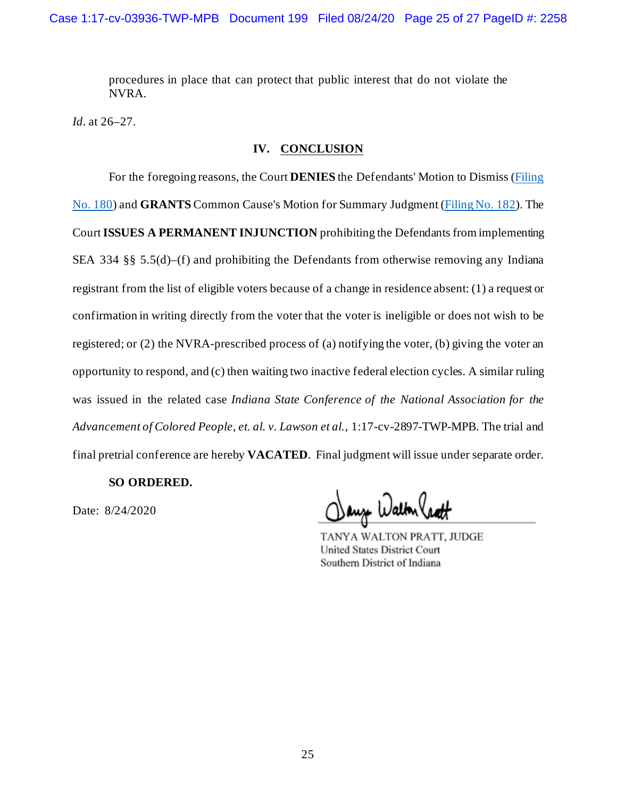procedures in place that can protect that public interest that do not violate the NVRA.

*Id.* at 26–27.

## **IV. CONCLUSION**

For the foregoing reasons, the Court **DENIES** the Defendants' Motion to Dismiss [\(Filing](https://ecf.insd.uscourts.gov/doc1/07318034840)  [No. 180\)](https://ecf.insd.uscourts.gov/doc1/07318034840) and **GRANTS** Common Cause's Motion for Summary Judgment [\(Filing No. 182\)](https://ecf.insd.uscourts.gov/doc1/07318034886). The Court **ISSUES A PERMANENT INJUNCTION** prohibiting the Defendants from implementing SEA 334 §§ 5.5(d)–(f) and prohibiting the Defendants from otherwise removing any Indiana registrant from the list of eligible voters because of a change in residence absent: (1) a request or confirmation in writing directly from the voter that the voter is ineligible or does not wish to be registered; or (2) the NVRA-prescribed process of (a) notifying the voter, (b) giving the voter an opportunity to respond, and (c) then waiting two inactive federal election cycles. A similar ruling was issued in the related case *Indiana State Conference of the National Association for the Advancement of Colored People, et. al. v. Lawson et al.*, 1:17-cv-2897-TWP-MPB. The trial and final pretrial conference are hereby **VACATED**. Final judgment will issue under separate order.

### **SO ORDERED.**

Date: 8/24/2020

aug Walton hatt

TANYA WALTON PRATT, JUDGE **United States District Court** Southern District of Indiana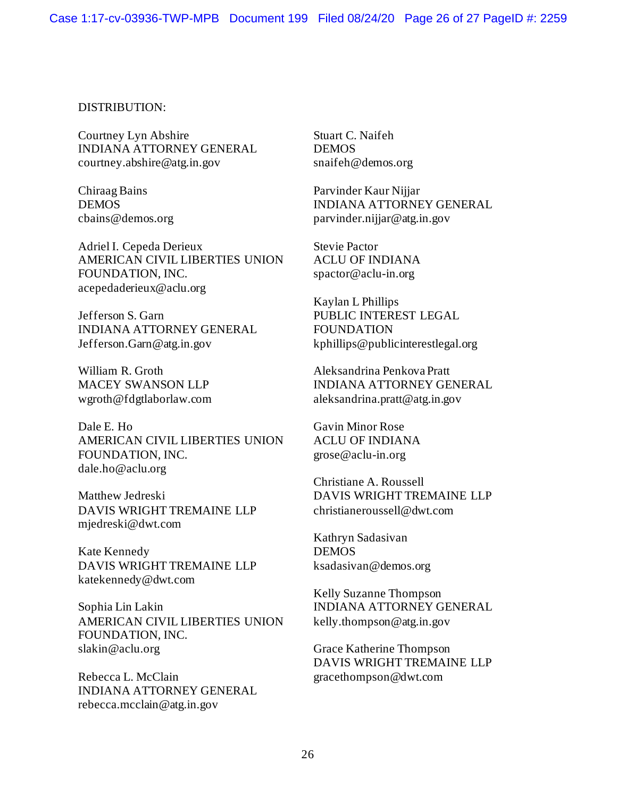### DISTRIBUTION:

Courtney Lyn Abshire INDIANA ATTORNEY GENERAL courtney.abshire@atg.in.gov

Chiraag Bains DEMOS cbains@demos.org

Adriel I. Cepeda Derieux AMERICAN CIVIL LIBERTIES UNION FOUNDATION, INC. acepedaderieux@aclu.org

Jefferson S. Garn INDIANA ATTORNEY GENERAL Jefferson.Garn@atg.in.gov

William R. Groth MACEY SWANSON LLP wgroth@fdgtlaborlaw.com

Dale E. Ho AMERICAN CIVIL LIBERTIES UNION FOUNDATION, INC. dale.ho@aclu.org

Matthew Jedreski DAVIS WRIGHT TREMAINE LLP mjedreski@dwt.com

Kate Kennedy DAVIS WRIGHT TREMAINE LLP katekennedy@dwt.com

Sophia Lin Lakin AMERICAN CIVIL LIBERTIES UNION FOUNDATION, INC. slakin@aclu.org

Rebecca L. McClain INDIANA ATTORNEY GENERAL rebecca.mcclain@atg.in.gov

Stuart C. Naifeh DEMOS snaifeh@demos.org

Parvinder Kaur Nijjar INDIANA ATTORNEY GENERAL parvinder.nijjar@atg.in.gov

Stevie Pactor ACLU OF INDIANA spactor@aclu-in.org

Kaylan L Phillips PUBLIC INTEREST LEGAL FOUNDATION kphillips@publicinterestlegal.org

Aleksandrina Penkova Pratt INDIANA ATTORNEY GENERAL aleksandrina.pratt@atg.in.gov

Gavin Minor Rose ACLU OF INDIANA grose@aclu-in.org

Christiane A. Roussell DAVIS WRIGHT TREMAINE LLP christianeroussell@dwt.com

Kathryn Sadasivan DEMOS ksadasivan@demos.org

Kelly Suzanne Thompson INDIANA ATTORNEY GENERAL kelly.thompson@atg.in.gov

Grace Katherine Thompson DAVIS WRIGHT TREMAINE LLP gracethompson@dwt.com